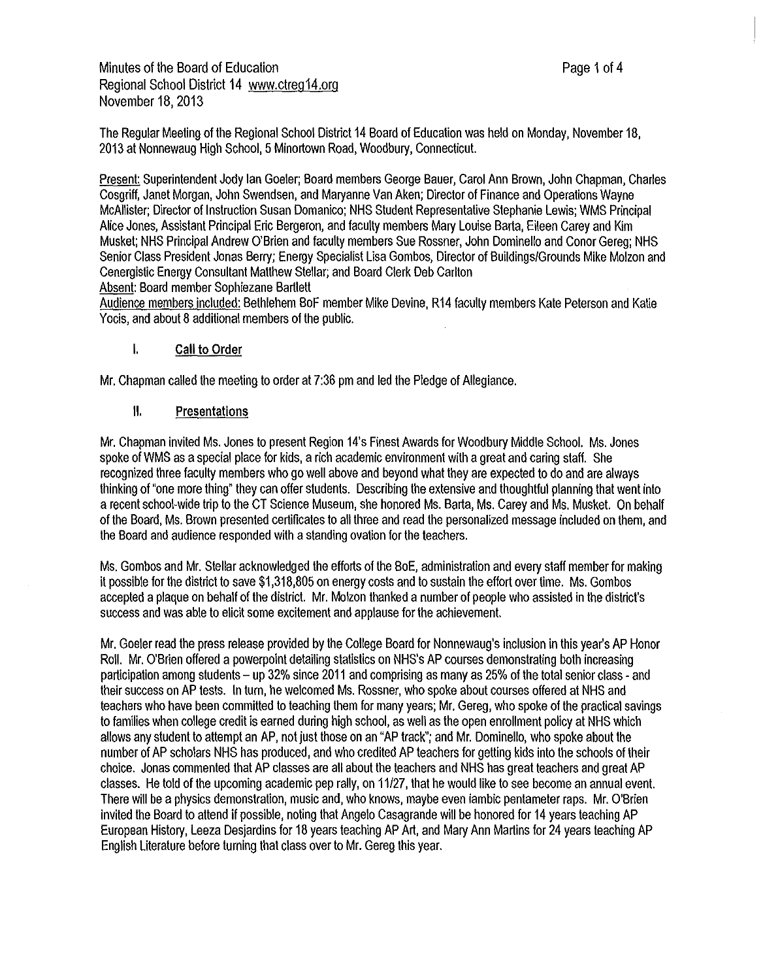Present: Superintendent Jody Ian Goeler; Board members George Bauer, Carol Ann Brown, John Chapman, Charles Cosgriff, Janet Morgan, John Swendsen, and Maryanne Van Aken; Director of Finance and Operations Wayne McAllister; Director of Instruction Susan Domanico; NHS Student Representative Stephanie Lewis; WMS Principal Alice Jones, Assistant Principal Eric Bergeron, and faculty members Mary Louise Barta, Eileen Carey and Kim Musket; NHS Principal Andrew O'Brien and faculty members Sue Rossner, John Dominello and Conor Gereg; NHS Senior Class President Jonas Berry; Energy Specialist Lisa Gombos, Director of Buildings/Grounds Mike Molzon and Cenergistic Energy Consultant Matthew Stellar; and Board Clerk Deb Carlton

Absent: Board member Sophiezane Bartlett

Audience members included: Bethlehem BoF member Mike Devine, R14 faculty members Kate Peterson and Katie Yocis, and about 8 additional members of the public.

#### I. **Call to Order**

Mr. Chapman called the meeting to order at 7:36 pm and led the Pledge of Allegiance.

### II. Presentations

Mr. Chapman invited Ms. Jones to present Region 14's Finest Awards for Woodbury Middle School. Ms. Jones spoke of WMS as a special place for kids, a rich academic environment with a great and caring staff. She recognized three faculty members who go well above and beyond what they are expected to do and are always thinking of "one more thing" they can offer students. Describing the extensive and thoughtful planning that went into a recent school-wide trip to the CT Science Museum, she honored Ms. Barta, Ms. Carey and Ms. Musket. On behalf of the Board, Ms. Brown presented certificates to all three and read the personalized message included on them, and the Board and audience responded with astanding ovation for the teachers.

Ms. Gombos and Mr. Stellar acknowledged the efforts of the BoE, administration and every staff member for making it possible for the district to save \$1,318,805 on energy costs and to sustain the effort over time. Ms. Gombos accepted aplaque on behalf of the district. Mr. Molzon thanked a number of people who assisted in the district's success and was able to elicit some excitement and applause for the achievement.

Mr. Goeler read the press release provided by the College Board for Nonnewaug's inclusion in this year's AP Honor Roll. Mr. O'Brien offered a powerpoint detailing statistics on NHS's AP courses demonstrating both increasing participation among students - up 32% since 2011 and comprising as many as 25% of the total senior class - and their success on AP tests. In turn, he welcomed Ms. Rossner, who spoke about courses offered at NHS and teachers who have been committed to teaching them for many years; Mr. Gereg, who spoke of the practical savings to families when college credit is earned during high school, as well as the open enrollment policy at NHS which allows any student to attempt an AP, not just those on an "AP track"; and Mr. Dominello, who spoke about the number of AP scholars NHS has produced, and who credited AP teachers for getting kids into the schools of their choice. Jonas commented that AP classes are all about the teachers and NHS has great teachers and great AP classes. He told of the upcoming academic pep rally, on 11/27, that he would like to see become an annual event. There will be aphysics demonstration, music and, who knows, maybe even iambic pentameter raps. Mr. O'Brien invited the Board to attend if possible, noting that Angelo Casagrande will be honored for 14 years teaching AP European History, Leeza Desjardins for 18 years teaching AP Art, and Mary Ann Martins for 24 years teaching AP English Literature before turning that class over to Mr. Gereg this year.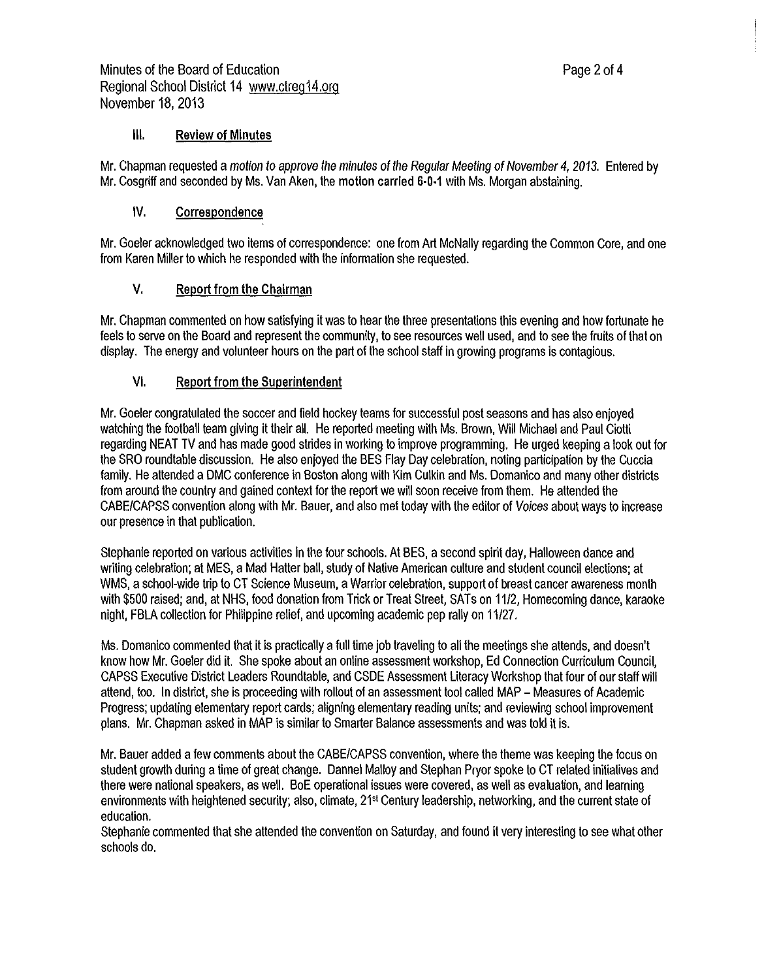# Ill. **Review of Minutes**

Mr. Chapman requested a motion to approve the minutes of the Regular Meeting of November 4, 2013. Entered by Mr. Cosgriff and seconded by Ms. Van Aken, the motion carried 6·0-1 with Ms. Morgan abstaining.

## IV. Correspondence

Mr. Goeler acknowledged two items of correspondence: one from Art McNally regarding the Common Core, and one from Karen Miller to which he responded with the information she requested.

#### V. Report from the Chairman

Mr. Chapman commented on how satisfying it was to hear the three presentations this evening and how fortunate he feels to serve on the Board and represent the community, to see resources well used, and to see the fruits of that on display. The energy and volunteer hours on the part of the school staff in growing programs is contagious.

### VI. Report from the Superintendent

Mr. Goeler congratulated the soccer and field hockey teams for successful post seasons and has also enjoyed watching the football team giving it their all. He reported meeting with Ms. Brown, Will Michael and Paul Ciotti regarding NEAT TV and has made good strides in working to improve programming. He urged keeping a look out for the SRO roundtable discussion. He also enjoyed the BES Flay Day celebration, noting participation by the Cuccia family. He attended aDMC conference in Boston along with Kim Culkin and Ms. Domanico and many other districts from around the country and gained context for the report we will soon receive from them. He attended the CABE/CAPSS convention along with Mr. Bauer, and also met today with the editor of Voices about ways to increase our presence in that publication.

Stephanie reported on various activities in the four schools. At BES, a second spirit day, Halloween dance and writing celebration; at MES, a Mad Hatter ball, study of Native American culture and student council elections; at WMS, a school-wide trip to CT Science Museum, a Warrior celebration, support of breast cancer awareness month with \$500 raised; and, at NHS, food donation from Trick or Treat Street, SATs on 11/2, Homecoming dance, karaoke night, FBLA collection for Philippine relief, and upcoming academic pep rally on 11/27.

Ms. Domanico commented that it is practically a full time job traveling to all the meetings she attends, and doesn't know how Mr. Goeler did it. She spoke about an online assessment workshop, Ed Connection Curriculum Council, CAPSS Executive District Leaders Roundtable, and CSDE Assessment Literacy Workshop that four of our staff will attend, too. In district, she is proceeding with rollout of an assessment tool called MAP - Measures of Academic Progress; updating elementary report cards; aligning elementary reading units; and reviewing school improvement plans. Mr. Chapman asked in MAP is similar to Smarter Balance assessments and was told it is.

Mr. Bauer added a few comments about the CABE/CAPSS convention, where the theme was keeping the focus on student growth during a time of great change. Dannel Malloy and Stephan Pryor spoke to CT related initiatives and there were national speakers, as well. BoE operational issues were covered, as well as evaluation, and learning environments with heightened security; also, climate, 21<sup>st</sup> Century leadership, networking, and the current state of education.

Stephanie commented that she attended the convention on Saturday, and found it very interesting to see what other schools do.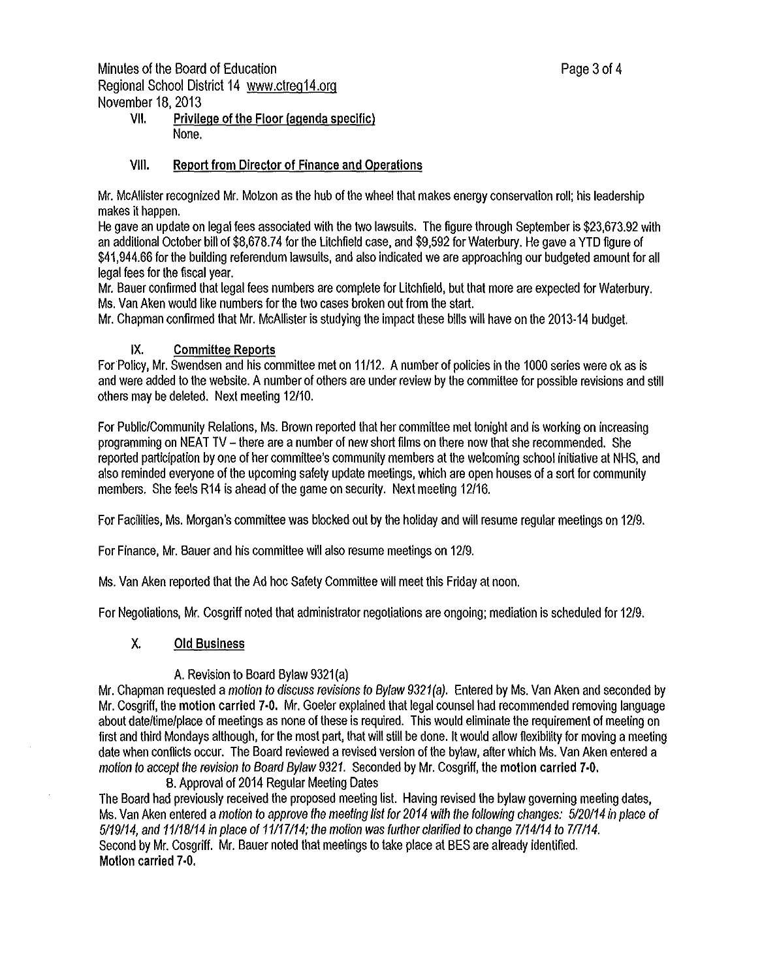# VII. Privilege of the Floor (agenda specific) None.

### VIII. Report from Director of Finance and Operations

Mr. McAllister recognized Mr. Molzon as the hub of the wheel that makes energy conservation roll; his leadership makes it happen.

He gave an update on legal fees associated with the two lawsuits. The figure through September is [\\$23,673.92](https://23,673.92) with an additional October bill of [\\$8,678.74](https://8,678.74) for the Litchfield case, and \$9,592 for Waterbury. He gave aYTD figure of [\\$41,944.66](https://41,944.66) for the building referendum lawsuits, and also indicated we are approaching our budgeted amount for all legal fees for the fiscal year.

Mr. Bauer confirmed that legal fees numbers are complete for Litchfield, but that more are expected for Waterbury. Ms. Van Aken would like numbers for the two cases broken out from the start.

Mr. Chapman confirmed that Mr. McAllister is studying the impact these bills will have on the 2013-14 budget.

### **IX. Committee Reports**

For Policy, Mr. Swendsen and his committee met on 11/12. A number of policies in the 1000 series were ok as is and were added to the website. Anumber of others are under review by the committee for possible revisions and still others may be deleted. Next meeting 12/10.

For Public/Community Relations, Ms. Brown reported that her committee met tonight and is working on increasing programming on NEAT TV - there are anumber of new short films on there now that she recommended. She reported participation by one of her committee's community members at the welcoming school initiative at NHS, and also reminded everyone of the upcoming safety update meetings, which are open houses of asort for community members. She feels R14 is ahead of the game on security. Next meeting 12/16.

For Facilities, Ms. Morgan's committee was blocked out by the holiday and will resume regular meetings on 12/9.

For Finance, Mr. Bauer and his committee will also resume meetings on 12/9.

Ms. Van Aken reported that the Ad hoc Safety Committee will meet this Friday at noon.

For Negotiations, Mr. Cosgriff noted that administrator negotiations are ongoing; mediation is scheduled for 12/9.

# **X. Old Business**

#### A. Revision to Board Bylaw 9321(a)

Mr. Chapman requested a motion to discuss revisions to Bylaw 9321(a). Entered by Ms. Van Aken and seconded by Mr. Cosgriff, the motion carried 7-0. Mr. Goeler explained that legal counsel had recommended removing language about date/time/place of meetings as none of these is required. This would eliminate the requirement of meeting on first and third Mondays although, for the most part, that will still be done. It would allow flexibility for moving ameeting date when conflicts occur. The Board reviewed arevised version of the bylaw, after which Ms. Van Aken entered a motion to accept the revision to Board Bylaw 9321. Seconded by Mr. Cosgriff, the motion carried 7-0.

B. Approval of 2014 Regular Meeting Dates

The Board had previously received the proposed meeting list. Having revised the bylaw governing meeting dates, Ms. Van Aken entered a motion to approve the meeting list for 2014 with the following changes: 5/20/14 in place of 5119114, and 11118/14 in place of 11/17114; the motion was further clarified to change 7114114 to 717114. Second by Mr. Cosgriff. Mr. Bauer noted that meetings to take place at BES are already identified. Motion carried 7-0.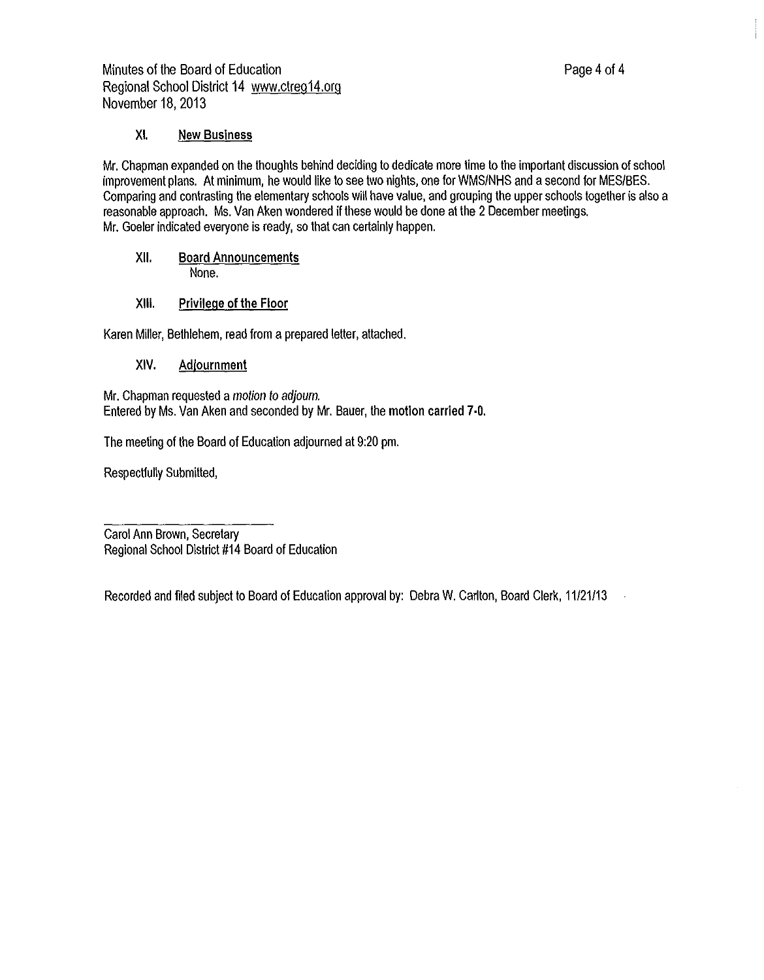# **XI. New Business**

Mr. Chapman expanded on the thoughts behind deciding to dedicate more time to the important discussion of school improvement plans. Al minimum, he would like to see two nights, one for WMS/NHS and asecond for MES/BES. Comparing and contrasting the elementary schools will have value, and grouping the upper schools together is also a reasonable approach. Ms. Van Aken wondered if these would be done at the 2 December meetings. Mr. Goeler indicated everyone is ready, so that can certainly happen.

XII. Board Announcements None.

# XIII. Privilege of the Floor

Karen Miller, Bethlehem, read from a prepared letter, attached.

# **XIV. Adjournment**

Mr. Chapman requested a motion to adjourn. Entered by Ms. Van Aken and seconded by Mr. Bauer, the motion carried 7-0.

The meeting of the Board of Education adjourned at 9:20 pm.

Respectfully Submitted,

Carol Ann Brown, Secretary Regional School District #14 Board of Education

Recorded and filed subject to Board of Education approval by: Debra W. Carlton, Board Clerk, 11/21/13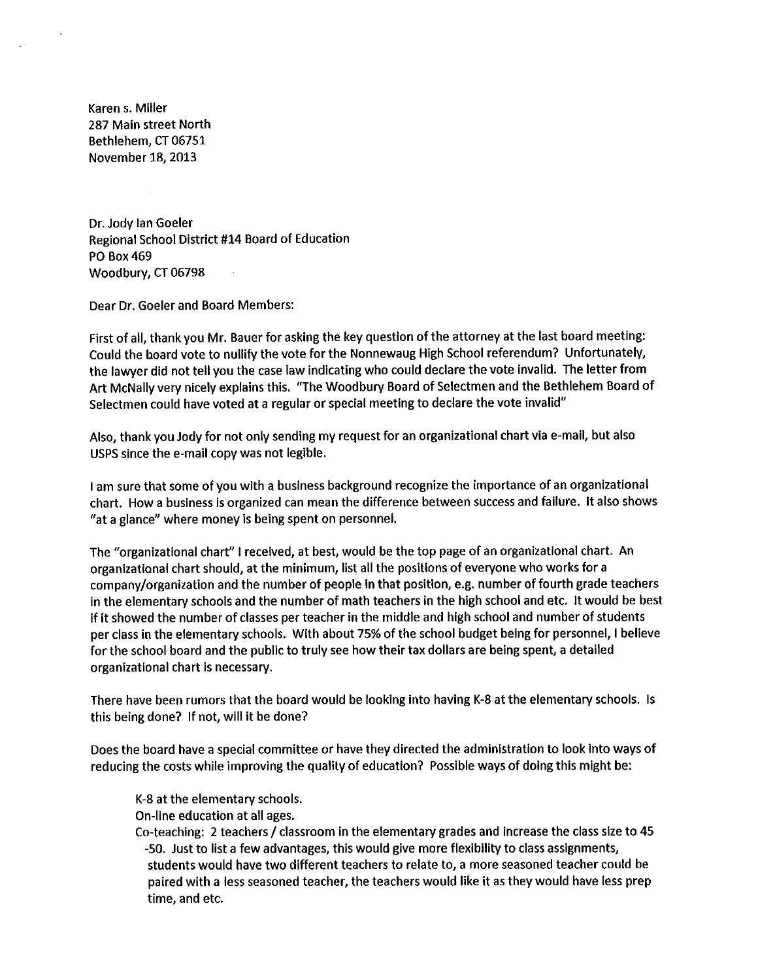Karen s. Miller 287 Main street North Bethlehem, CT 06751 November 18, 2013

Dr. Jody Ian Goeler Regional School District #14 Board of Education PO Box 469 Woodbury, CT 06798

Dear Dr. Goeler and Board Members:

First of all, thank you Mr. Bauer for asking the key question of the attorney at the last board meeting: Could the board vote to nullify the vote for the Nonnewaug High School referendum? Unfortunately, the lawyer did not tell you the case law indicating who could declare the vote invalid. The letter from Art McNally very nicely explains this. "The Woodbury Board of Selectmen and the Bethlehem Board of Selectmen could have voted at a regular or special meeting to declare the vote invalid"

Also, thank you Jody for not only sending my request for an organizational chart via e-mail, but also USPS since the e-mail copy was not legible.

I am sure that some of you with a business background recognize the importance of an organizational chart. How a business Is organized can mean the difference between success and failure. It also shows "at a glance" where money is being spent on personnel.

The "organizational chart" I received, at best, would be the top page of an organizational chart. An organizational chart should, at the minimum, list all the positions of everyone who works for a company/organization and the number of people In that position, e.g. number of fourth grade teachers in the elementary schools and the number of math teachers In the high school and etc. It would be best if it showed the number of classes per teacher in the middle and high school and number of students per class in the elementary schools. With about 75% of the school budget being for personnel, I believe for the school board and the public to truly see how their tax dollars are being spent, a detailed organizational chart is necessary.

There have been rumors that the board would be looking into having K-8 at the elementary schools. Is this being done? If not, will it be done?

Does the board have a special committee or have they directed the administration to look into ways of reducing the costs while improving the quality of education? Possible ways of doing this might be:

K-8 at the elementary schools.

On-line education at all ages.

Co-teaching: 2 teachers/ classroom in the elementary grades and increase the class size to 45 -50. Just to list a few advantages, this would give more flexibllity to class assignments, students would have two different teachers to relate to, a more seasoned teacher could be paired with a less seasoned teacher, the teachers would like it as they would have less prep time, and etc.